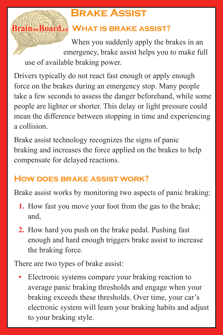## **Brake Assist**

## **Brain**<sub>on</sub> Board<sub>ca</sub> WHAT IS BRAKE ASSIST?

When you suddenly apply the brakes in an emergency, brake assist helps you to make full use of available braking power.

Drivers typically do not react fast enough or apply enough force on the brakes during an emergency stop. Many people take a few seconds to assess the danger beforehand, while some people are lighter or shorter. This delay or light pressure could mean the difference between stopping in time and experiencing a collision.

Brake assist technology recognizes the signs of panic braking and increases the force applied on the brakes to help compensate for delayed reactions.

## **How does brake assist work?**

Brake assist works by monitoring two aspects of panic braking:

- **1.** How fast you move your foot from the gas to the brake; and,
- **2.** How hard you push on the brake pedal. Pushing fast enough and hard enough triggers brake assist to increase the braking force.

There are two types of brake assist:

**•** Electronic systems compare your braking reaction to average panic braking thresholds and engage when your braking exceeds these thresholds. Over time, your car's electronic system will learn your braking habits and adjust to your braking style.